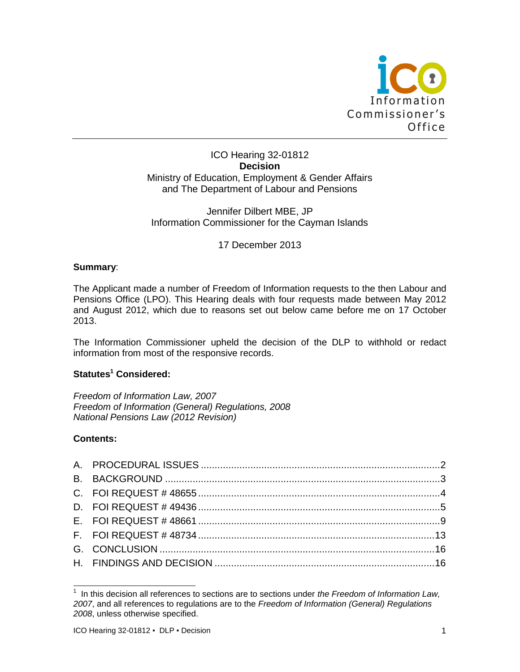

### ICO Hearing 32-01812 **Decision** Ministry of Education, Employment & Gender Affairs and The Department of Labour and Pensions

## Jennifer Dilbert MBE, JP Information Commissioner for the Cayman Islands

17 December 2013

### **Summary**:

The Applicant made a number of Freedom of Information requests to the then Labour and Pensions Office (LPO). This Hearing deals with four requests made between May 2012 and August 2012, which due to reasons set out below came before me on 17 October 2013.

The Information Commissioner upheld the decision of the DLP to withhold or redact information from most of the responsive records.

## **Statutes<sup>1</sup> Considered:**

*Freedom of Information Law, 2007 Freedom of Information (General) Regulations, 2008 National Pensions Law (2012 Revision)*

### **Contents:**

 1 In this decision all references to sections are to sections under *the Freedom of Information Law, 2007*, and all references to regulations are to the *Freedom of Information (General) Regulations 2008*, unless otherwise specified.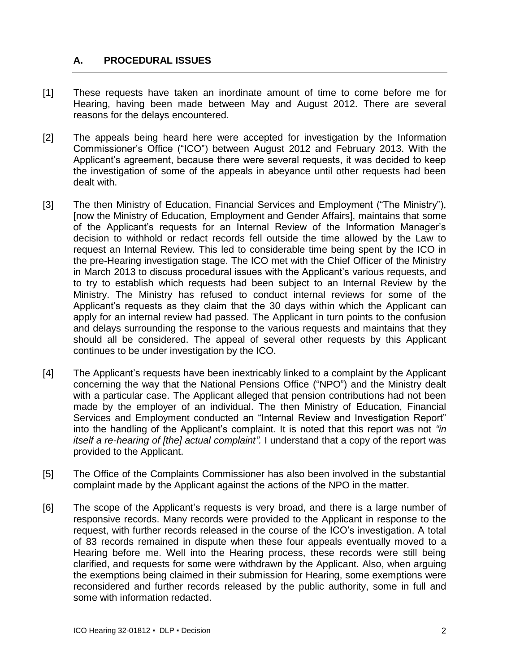# <span id="page-1-0"></span>**A. PROCEDURAL ISSUES**

- [1] These requests have taken an inordinate amount of time to come before me for Hearing, having been made between May and August 2012. There are several reasons for the delays encountered.
- [2] The appeals being heard here were accepted for investigation by the Information Commissioner's Office ("ICO") between August 2012 and February 2013. With the Applicant's agreement, because there were several requests, it was decided to keep the investigation of some of the appeals in abeyance until other requests had been dealt with.
- [3] The then Ministry of Education, Financial Services and Employment ("The Ministry"), [now the Ministry of Education, Employment and Gender Affairs], maintains that some of the Applicant's requests for an Internal Review of the Information Manager's decision to withhold or redact records fell outside the time allowed by the Law to request an Internal Review. This led to considerable time being spent by the ICO in the pre-Hearing investigation stage. The ICO met with the Chief Officer of the Ministry in March 2013 to discuss procedural issues with the Applicant's various requests, and to try to establish which requests had been subject to an Internal Review by the Ministry. The Ministry has refused to conduct internal reviews for some of the Applicant's requests as they claim that the 30 days within which the Applicant can apply for an internal review had passed. The Applicant in turn points to the confusion and delays surrounding the response to the various requests and maintains that they should all be considered. The appeal of several other requests by this Applicant continues to be under investigation by the ICO.
- [4] The Applicant's requests have been inextricably linked to a complaint by the Applicant concerning the way that the National Pensions Office ("NPO") and the Ministry dealt with a particular case. The Applicant alleged that pension contributions had not been made by the employer of an individual. The then Ministry of Education, Financial Services and Employment conducted an "Internal Review and Investigation Report" into the handling of the Applicant's complaint. It is noted that this report was not *"in itself a re-hearing of [the] actual complaint".* I understand that a copy of the report was provided to the Applicant.
- [5] The Office of the Complaints Commissioner has also been involved in the substantial complaint made by the Applicant against the actions of the NPO in the matter.
- [6] The scope of the Applicant's requests is very broad, and there is a large number of responsive records. Many records were provided to the Applicant in response to the request, with further records released in the course of the ICO's investigation. A total of 83 records remained in dispute when these four appeals eventually moved to a Hearing before me. Well into the Hearing process, these records were still being clarified, and requests for some were withdrawn by the Applicant. Also, when arguing the exemptions being claimed in their submission for Hearing, some exemptions were reconsidered and further records released by the public authority, some in full and some with information redacted.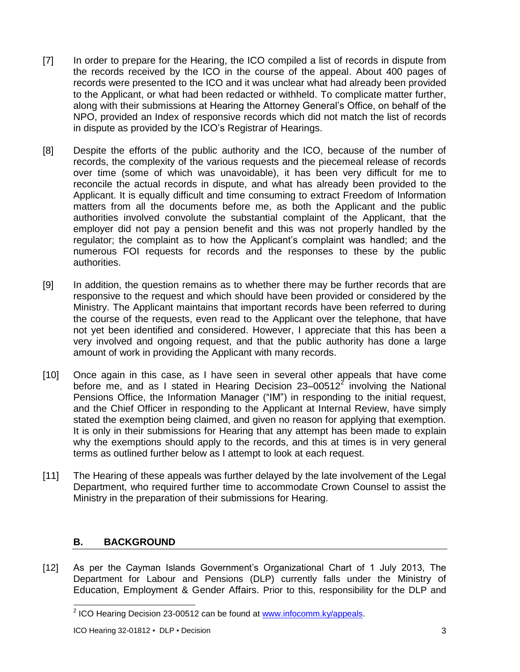- [7] In order to prepare for the Hearing, the ICO compiled a list of records in dispute from the records received by the ICO in the course of the appeal. About 400 pages of records were presented to the ICO and it was unclear what had already been provided to the Applicant, or what had been redacted or withheld. To complicate matter further, along with their submissions at Hearing the Attorney General's Office, on behalf of the NPO, provided an Index of responsive records which did not match the list of records in dispute as provided by the ICO's Registrar of Hearings.
- [8] Despite the efforts of the public authority and the ICO, because of the number of records, the complexity of the various requests and the piecemeal release of records over time (some of which was unavoidable), it has been very difficult for me to reconcile the actual records in dispute, and what has already been provided to the Applicant. It is equally difficult and time consuming to extract Freedom of Information matters from all the documents before me, as both the Applicant and the public authorities involved convolute the substantial complaint of the Applicant, that the employer did not pay a pension benefit and this was not properly handled by the regulator; the complaint as to how the Applicant's complaint was handled; and the numerous FOI requests for records and the responses to these by the public authorities.
- [9] In addition, the question remains as to whether there may be further records that are responsive to the request and which should have been provided or considered by the Ministry. The Applicant maintains that important records have been referred to during the course of the requests, even read to the Applicant over the telephone, that have not yet been identified and considered. However, I appreciate that this has been a very involved and ongoing request, and that the public authority has done a large amount of work in providing the Applicant with many records.
- [10] Once again in this case, as I have seen in several other appeals that have come before me, and as I stated in Hearing Decision 23–00512<sup>2</sup> involving the National Pensions Office, the Information Manager ("IM") in responding to the initial request, and the Chief Officer in responding to the Applicant at Internal Review, have simply stated the exemption being claimed, and given no reason for applying that exemption. It is only in their submissions for Hearing that any attempt has been made to explain why the exemptions should apply to the records, and this at times is in very general terms as outlined further below as I attempt to look at each request.
- [11] The Hearing of these appeals was further delayed by the late involvement of the Legal Department, who required further time to accommodate Crown Counsel to assist the Ministry in the preparation of their submissions for Hearing.

# <span id="page-2-0"></span>**B. BACKGROUND**

[12] As per the Cayman Islands Government's Organizational Chart of 1 July 2013, The Department for Labour and Pensions (DLP) currently falls under the Ministry of Education, Employment & Gender Affairs. Prior to this, responsibility for the DLP and

<sup>&</sup>lt;u>2</u><br><sup>2</sup> ICO Hearing Decision 23-00512 can be found at [www.infocomm.ky/appeals.](http://www.infocomm.ky/appeals)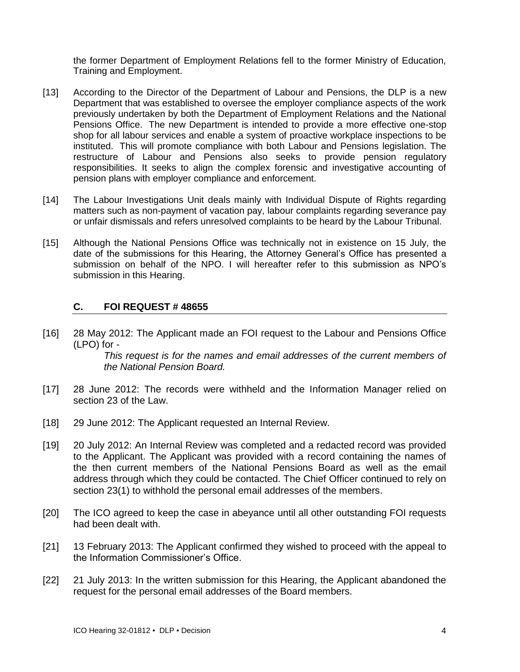the former Department of Employment Relations fell to the former Ministry of Education, Training and Employment.

- [13] According to the Director of the Department of Labour and Pensions, the DLP is a new Department that was established to oversee the employer compliance aspects of the work previously undertaken by both the Department of Employment Relations and the National Pensions Office. The new Department is intended to provide a more effective one-stop shop for all labour services and enable a system of proactive workplace inspections to be instituted. This will promote compliance with both Labour and Pensions legislation. The restructure of Labour and Pensions also seeks to provide pension regulatory responsibilities. It seeks to align the complex forensic and investigative accounting of pension plans with employer compliance and enforcement.
- [14] The Labour Investigations Unit deals mainly with Individual Dispute of Rights regarding matters such as non-payment of vacation pay, labour complaints regarding severance pay or unfair dismissals and refers unresolved complaints to be heard by the Labour Tribunal.
- [15] Although the National Pensions Office was technically not in existence on 15 July, the date of the submissions for this Hearing, the Attorney General's Office has presented a submission on behalf of the NPO. I will hereafter refer to this submission as NPO's submission in this Hearing.

#### <span id="page-3-0"></span>**C. FOI REQUEST # 48655**

[16] 28 May 2012: The Applicant made an FOI request to the Labour and Pensions Office (LPO) for -

*This request is for the names and email addresses of the current members of the National Pension Board.*

- [17] 28 June 2012: The records were withheld and the Information Manager relied on section 23 of the Law.
- [18] 29 June 2012: The Applicant requested an Internal Review.
- [19] 20 July 2012: An Internal Review was completed and a redacted record was provided to the Applicant. The Applicant was provided with a record containing the names of the then current members of the National Pensions Board as well as the email address through which they could be contacted. The Chief Officer continued to rely on section 23(1) to withhold the personal email addresses of the members.
- [20] The ICO agreed to keep the case in abeyance until all other outstanding FOI requests had been dealt with.
- [21] 13 February 2013: The Applicant confirmed they wished to proceed with the appeal to the Information Commissioner's Office.
- [22] 21 July 2013: In the written submission for this Hearing, the Applicant abandoned the request for the personal email addresses of the Board members.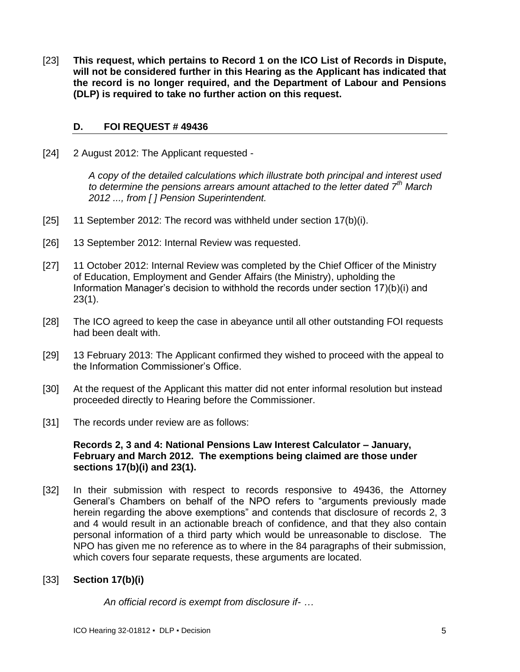[23] **This request, which pertains to Record 1 on the ICO List of Records in Dispute, will not be considered further in this Hearing as the Applicant has indicated that the record is no longer required, and the Department of Labour and Pensions (DLP) is required to take no further action on this request.**

### <span id="page-4-0"></span>**D. FOI REQUEST # 49436**

[24] 2 August 2012: The Applicant requested -

*A copy of the detailed calculations which illustrate both principal and interest used to determine the pensions arrears amount attached to the letter dated 7th March 2012 ..., from [ ] Pension Superintendent.*

- [25] 11 September 2012: The record was withheld under section 17(b)(i).
- [26] 13 September 2012: Internal Review was requested.
- [27] 11 October 2012: Internal Review was completed by the Chief Officer of the Ministry of Education, Employment and Gender Affairs (the Ministry), upholding the Information Manager's decision to withhold the records under section 17)(b)(i) and 23(1).
- [28] The ICO agreed to keep the case in abeyance until all other outstanding FOI requests had been dealt with.
- [29] 13 February 2013: The Applicant confirmed they wished to proceed with the appeal to the Information Commissioner's Office.
- [30] At the request of the Applicant this matter did not enter informal resolution but instead proceeded directly to Hearing before the Commissioner.
- [31] The records under review are as follows:

### **Records 2, 3 and 4: National Pensions Law Interest Calculator – January, February and March 2012. The exemptions being claimed are those under sections 17(b)(i) and 23(1).**

[32] In their submission with respect to records responsive to 49436, the Attorney General's Chambers on behalf of the NPO refers to "arguments previously made herein regarding the above exemptions" and contends that disclosure of records 2, 3 and 4 would result in an actionable breach of confidence, and that they also contain personal information of a third party which would be unreasonable to disclose. The NPO has given me no reference as to where in the 84 paragraphs of their submission, which covers four separate requests, these arguments are located.

# [33] **Section 17(b)(i)**

*An official record is exempt from disclosure if- …*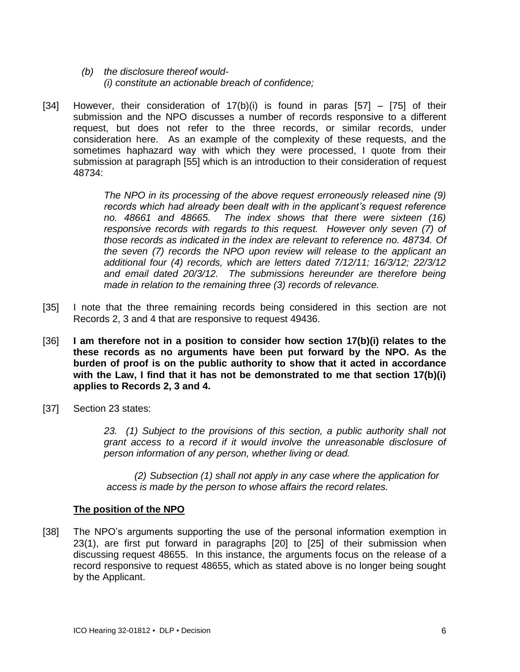- *(b) the disclosure thereof would- (i) constitute an actionable breach of confidence;*
- [34] However, their consideration of  $17(b)(i)$  is found in paras [57] [75] of their submission and the NPO discusses a number of records responsive to a different request, but does not refer to the three records, or similar records, under consideration here. As an example of the complexity of these requests, and the sometimes haphazard way with which they were processed, I quote from their submission at paragraph [55] which is an introduction to their consideration of request 48734:

*The NPO in its processing of the above request erroneously released nine (9) records which had already been dealt with in the applicant's request reference no. 48661 and 48665. The index shows that there were sixteen (16) responsive records with regards to this request. However only seven (7) of those records as indicated in the index are relevant to reference no. 48734. Of the seven (7) records the NPO upon review will release to the applicant an additional four (4) records, which are letters dated 7/12/11; 16/3/12; 22/3/12 and email dated 20/3/12. The submissions hereunder are therefore being made in relation to the remaining three (3) records of relevance.*

- [35] I note that the three remaining records being considered in this section are not Records 2, 3 and 4 that are responsive to request 49436.
- [36] **I am therefore not in a position to consider how section 17(b)(i) relates to the these records as no arguments have been put forward by the NPO. As the burden of proof is on the public authority to show that it acted in accordance with the Law, I find that it has not be demonstrated to me that section 17(b)(i) applies to Records 2, 3 and 4.**
- [37] Section 23 states:

*23. (1) Subject to the provisions of this section, a public authority shall not grant access to a record if it would involve the unreasonable disclosure of person information of any person, whether living or dead.*

*(2) Subsection (1) shall not apply in any case where the application for access is made by the person to whose affairs the record relates.*

### **The position of the NPO**

[38] The NPO's arguments supporting the use of the personal information exemption in 23(1), are first put forward in paragraphs [20] to [25] of their submission when discussing request 48655. In this instance, the arguments focus on the release of a record responsive to request 48655, which as stated above is no longer being sought by the Applicant.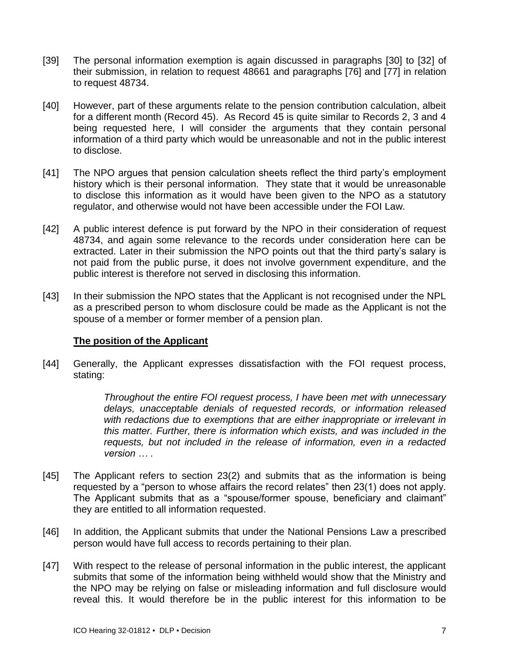- [39] The personal information exemption is again discussed in paragraphs [30] to [32] of their submission, in relation to request 48661 and paragraphs [76] and [77] in relation to request 48734.
- [40] However, part of these arguments relate to the pension contribution calculation, albeit for a different month (Record 45). As Record 45 is quite similar to Records 2, 3 and 4 being requested here, I will consider the arguments that they contain personal information of a third party which would be unreasonable and not in the public interest to disclose.
- [41] The NPO argues that pension calculation sheets reflect the third party's employment history which is their personal information. They state that it would be unreasonable to disclose this information as it would have been given to the NPO as a statutory regulator, and otherwise would not have been accessible under the FOI Law.
- [42] A public interest defence is put forward by the NPO in their consideration of request 48734, and again some relevance to the records under consideration here can be extracted. Later in their submission the NPO points out that the third party's salary is not paid from the public purse, it does not involve government expenditure, and the public interest is therefore not served in disclosing this information.
- [43] In their submission the NPO states that the Applicant is not recognised under the NPL as a prescribed person to whom disclosure could be made as the Applicant is not the spouse of a member or former member of a pension plan.

### **The position of the Applicant**

[44] Generally, the Applicant expresses dissatisfaction with the FOI request process, stating:

> *Throughout the entire FOI request process, I have been met with unnecessary delays, unacceptable denials of requested records, or information released with redactions due to exemptions that are either inappropriate or irrelevant in this matter. Further, there is information which exists, and was included in the requests, but not included in the release of information, even in a redacted version … .*

- [45] The Applicant refers to section 23(2) and submits that as the information is being requested by a "person to whose affairs the record relates" then 23(1) does not apply. The Applicant submits that as a "spouse/former spouse, beneficiary and claimant" they are entitled to all information requested.
- [46] In addition, the Applicant submits that under the National Pensions Law a prescribed person would have full access to records pertaining to their plan.
- [47] With respect to the release of personal information in the public interest, the applicant submits that some of the information being withheld would show that the Ministry and the NPO may be relying on false or misleading information and full disclosure would reveal this. It would therefore be in the public interest for this information to be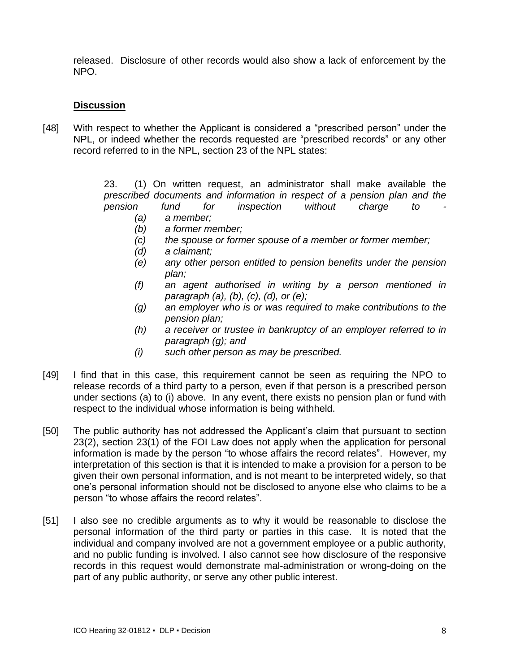released. Disclosure of other records would also show a lack of enforcement by the NPO.

## **Discussion**

[48] With respect to whether the Applicant is considered a "prescribed person" under the NPL, or indeed whether the records requested are "prescribed records" or any other record referred to in the NPL, section 23 of the NPL states:

> 23. (1) On written request, an administrator shall make available the *prescribed documents and information in respect of a pension plan and the*

- *pension fund for inspection without charge to - (a) a member;*
	- *(b) a former member;*
	- *(c) the spouse or former spouse of a member or former member;*
	- *(d) a claimant;*
	- *(e) any other person entitled to pension benefits under the pension plan;*
	- *(f) an agent authorised in writing by a person mentioned in paragraph (a), (b), (c), (d), or (e);*
	- *(g) an employer who is or was required to make contributions to the pension plan;*
	- *(h) a receiver or trustee in bankruptcy of an employer referred to in paragraph (g); and*
	- *(i) such other person as may be prescribed.*
- [49] I find that in this case, this requirement cannot be seen as requiring the NPO to release records of a third party to a person, even if that person is a prescribed person under sections (a) to (i) above. In any event, there exists no pension plan or fund with respect to the individual whose information is being withheld.
- [50] The public authority has not addressed the Applicant's claim that pursuant to section 23(2), section 23(1) of the FOI Law does not apply when the application for personal information is made by the person "to whose affairs the record relates". However, my interpretation of this section is that it is intended to make a provision for a person to be given their own personal information, and is not meant to be interpreted widely, so that one's personal information should not be disclosed to anyone else who claims to be a person "to whose affairs the record relates".
- [51] I also see no credible arguments as to why it would be reasonable to disclose the personal information of the third party or parties in this case. It is noted that the individual and company involved are not a government employee or a public authority, and no public funding is involved. I also cannot see how disclosure of the responsive records in this request would demonstrate mal-administration or wrong-doing on the part of any public authority, or serve any other public interest.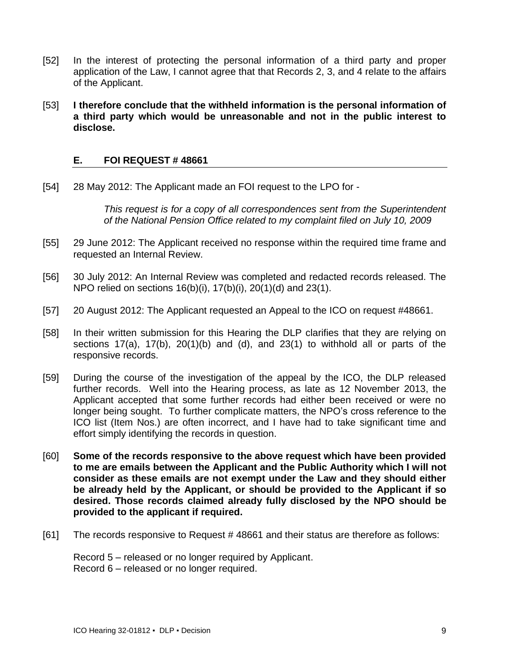- [52] In the interest of protecting the personal information of a third party and proper application of the Law, I cannot agree that that Records 2, 3, and 4 relate to the affairs of the Applicant.
- [53] **I therefore conclude that the withheld information is the personal information of a third party which would be unreasonable and not in the public interest to disclose.**

#### <span id="page-8-0"></span>**E. FOI REQUEST # 48661**

[54] 28 May 2012: The Applicant made an FOI request to the LPO for -

*This request is for a copy of all correspondences sent from the Superintendent of the National Pension Office related to my complaint filed on July 10, 2009*

- [55] 29 June 2012: The Applicant received no response within the required time frame and requested an Internal Review.
- [56] 30 July 2012: An Internal Review was completed and redacted records released. The NPO relied on sections 16(b)(i), 17(b)(i), 20(1)(d) and 23(1).
- [57] 20 August 2012: The Applicant requested an Appeal to the ICO on request #48661.
- [58] In their written submission for this Hearing the DLP clarifies that they are relying on sections  $17(a)$ ,  $17(b)$ ,  $20(1)(b)$  and  $(d)$ , and  $23(1)$  to withhold all or parts of the responsive records.
- [59] During the course of the investigation of the appeal by the ICO, the DLP released further records. Well into the Hearing process, as late as 12 November 2013, the Applicant accepted that some further records had either been received or were no longer being sought. To further complicate matters, the NPO's cross reference to the ICO list (Item Nos.) are often incorrect, and I have had to take significant time and effort simply identifying the records in question.
- [60] **Some of the records responsive to the above request which have been provided to me are emails between the Applicant and the Public Authority which I will not consider as these emails are not exempt under the Law and they should either be already held by the Applicant, or should be provided to the Applicant if so desired. Those records claimed already fully disclosed by the NPO should be provided to the applicant if required.**
- [61] The records responsive to Request # 48661 and their status are therefore as follows:

Record 5 – released or no longer required by Applicant. Record 6 – released or no longer required.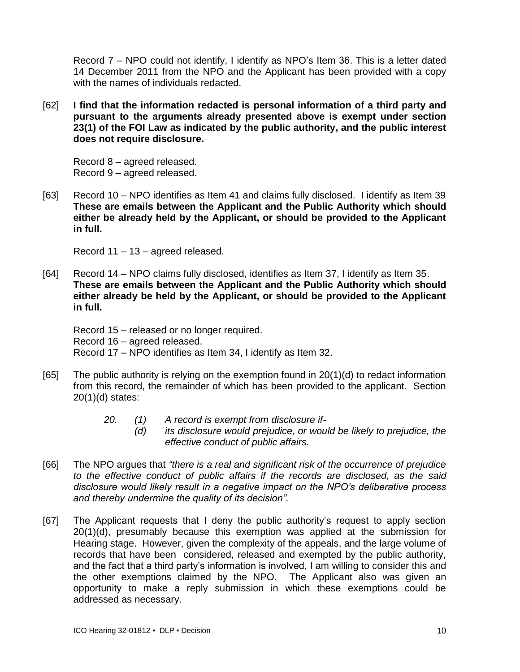Record 7 – NPO could not identify, I identify as NPO's Item 36. This is a letter dated 14 December 2011 from the NPO and the Applicant has been provided with a copy with the names of individuals redacted.

[62] **I find that the information redacted is personal information of a third party and pursuant to the arguments already presented above is exempt under section 23(1) of the FOI Law as indicated by the public authority, and the public interest does not require disclosure.**

Record 8 – agreed released. Record 9 – agreed released.

[63] Record 10 – NPO identifies as Item 41 and claims fully disclosed. I identify as Item 39 **These are emails between the Applicant and the Public Authority which should either be already held by the Applicant, or should be provided to the Applicant in full.**

Record 11 – 13 – agreed released.

[64] Record 14 – NPO claims fully disclosed, identifies as Item 37, I identify as Item 35. **These are emails between the Applicant and the Public Authority which should either already be held by the Applicant, or should be provided to the Applicant in full.**

Record 15 – released or no longer required. Record 16 – agreed released. Record 17 – NPO identifies as Item 34, I identify as Item 32.

- [65] The public authority is relying on the exemption found in 20(1)(d) to redact information from this record, the remainder of which has been provided to the applicant. Section 20(1)(d) states:
	- *20. (1) A record is exempt from disclosure if-*
		- *(d) its disclosure would prejudice, or would be likely to prejudice, the effective conduct of public affairs.*
- [66] The NPO argues that *"there is a real and significant risk of the occurrence of prejudice to the effective conduct of public affairs if the records are disclosed, as the said disclosure would likely result in a negative impact on the NPO's deliberative process and thereby undermine the quality of its decision".*
- [67] The Applicant requests that I deny the public authority's request to apply section 20(1)(d), presumably because this exemption was applied at the submission for Hearing stage. However, given the complexity of the appeals, and the large volume of records that have been considered, released and exempted by the public authority, and the fact that a third party's information is involved, I am willing to consider this and the other exemptions claimed by the NPO. The Applicant also was given an opportunity to make a reply submission in which these exemptions could be addressed as necessary.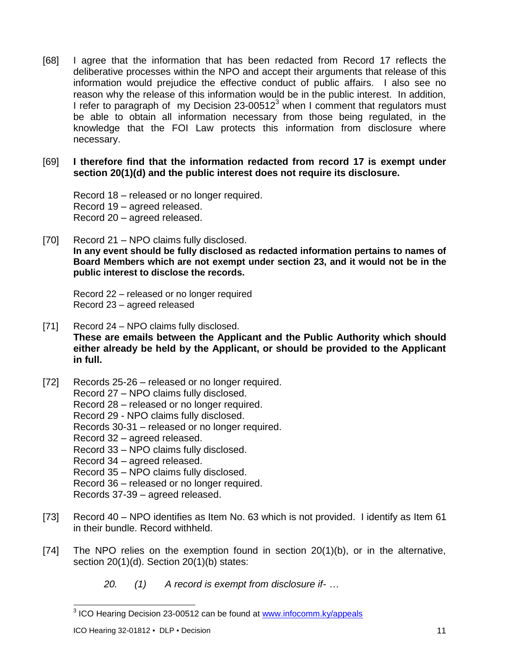- [68] I agree that the information that has been redacted from Record 17 reflects the deliberative processes within the NPO and accept their arguments that release of this information would prejudice the effective conduct of public affairs. I also see no reason why the release of this information would be in the public interest. In addition, I refer to paragraph of my Decision  $23{\text -}00512^3$  when I comment that regulators must be able to obtain all information necessary from those being regulated, in the knowledge that the FOI Law protects this information from disclosure where necessary.
- [69] **I therefore find that the information redacted from record 17 is exempt under section 20(1)(d) and the public interest does not require its disclosure.**

Record 18 – released or no longer required. Record 19 – agreed released. Record 20 – agreed released.

[70] Record 21 – NPO claims fully disclosed. **In any event should be fully disclosed as redacted information pertains to names of Board Members which are not exempt under section 23, and it would not be in the public interest to disclose the records.**

Record 22 – released or no longer required Record 23 – agreed released

- [71] Record 24 NPO claims fully disclosed. **These are emails between the Applicant and the Public Authority which should either already be held by the Applicant, or should be provided to the Applicant in full.**
- [72] Records 25-26 released or no longer required.
	- Record 27 NPO claims fully disclosed.
		- Record 28 released or no longer required.
		- Record 29 NPO claims fully disclosed.
		- Records 30-31 released or no longer required.
		- Record 32 agreed released.
		- Record 33 NPO claims fully disclosed.
		- Record 34 agreed released.
		- Record 35 NPO claims fully disclosed.
		- Record 36 released or no longer required.
		- Records 37-39 agreed released.
- [73] Record 40 NPO identifies as Item No. 63 which is not provided. I identify as Item 61 in their bundle. Record withheld.
- [74] The NPO relies on the exemption found in section 20(1)(b), or in the alternative, section 20(1)(d). Section 20(1)(b) states:
	- *20. (1) A record is exempt from disclosure if- …*

 3 ICO Hearing Decision 23-00512 can be found at [www.infocomm.ky/appeals](http://www.infocomm.ky/appeals)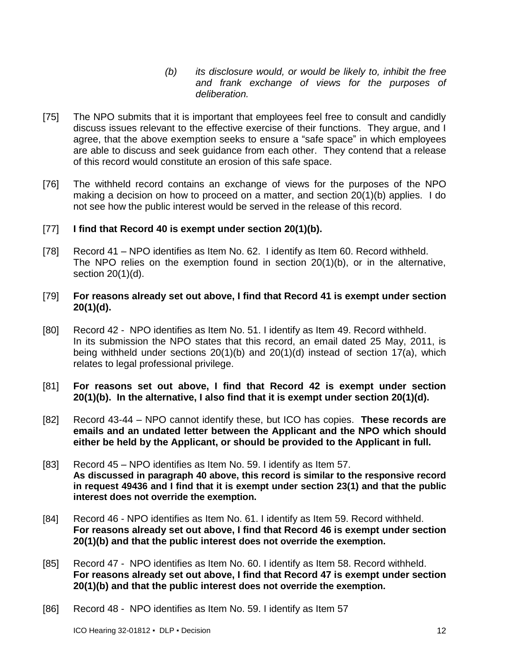- *(b) its disclosure would, or would be likely to, inhibit the free and frank exchange of views for the purposes of deliberation.*
- [75] The NPO submits that it is important that employees feel free to consult and candidly discuss issues relevant to the effective exercise of their functions. They argue, and I agree, that the above exemption seeks to ensure a "safe space" in which employees are able to discuss and seek guidance from each other. They contend that a release of this record would constitute an erosion of this safe space.
- [76] The withheld record contains an exchange of views for the purposes of the NPO making a decision on how to proceed on a matter, and section 20(1)(b) applies. I do not see how the public interest would be served in the release of this record.

### [77] **I find that Record 40 is exempt under section 20(1)(b).**

[78] Record 41 – NPO identifies as Item No. 62. I identify as Item 60. Record withheld. The NPO relies on the exemption found in section 20(1)(b), or in the alternative, section 20(1)(d).

### [79] **For reasons already set out above, I find that Record 41 is exempt under section 20(1)(d).**

- [80] Record 42 NPO identifies as Item No. 51. I identify as Item 49. Record withheld. In its submission the NPO states that this record, an email dated 25 May, 2011, is being withheld under sections 20(1)(b) and 20(1)(d) instead of section 17(a), which relates to legal professional privilege.
- [81] **For reasons set out above, I find that Record 42 is exempt under section 20(1)(b). In the alternative, I also find that it is exempt under section 20(1)(d).**
- [82] Record 43-44 NPO cannot identify these, but ICO has copies. **These records are emails and an undated letter between the Applicant and the NPO which should either be held by the Applicant, or should be provided to the Applicant in full.**
- [83] Record 45 NPO identifies as Item No. 59. I identify as Item 57. **As discussed in paragraph 40 above, this record is similar to the responsive record in request 49436 and I find that it is exempt under section 23(1) and that the public interest does not override the exemption.**
- [84] Record 46 NPO identifies as Item No. 61. I identify as Item 59. Record withheld. **For reasons already set out above, I find that Record 46 is exempt under section 20(1)(b) and that the public interest does not override the exemption.**
- [85] Record 47 NPO identifies as Item No. 60. I identify as Item 58. Record withheld. **For reasons already set out above, I find that Record 47 is exempt under section 20(1)(b) and that the public interest does not override the exemption.**
- [86] Record 48 NPO identifies as Item No. 59. I identify as Item 57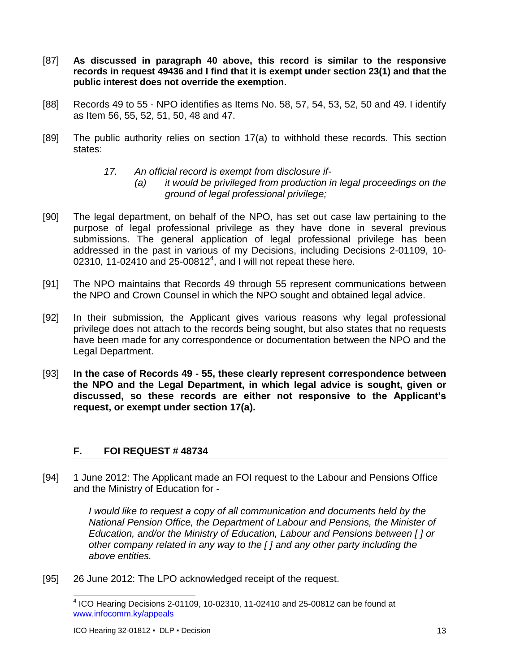- [87] **As discussed in paragraph 40 above, this record is similar to the responsive records in request 49436 and I find that it is exempt under section 23(1) and that the public interest does not override the exemption.**
- [88] Records 49 to 55 NPO identifies as Items No. 58, 57, 54, 53, 52, 50 and 49. I identify as Item 56, 55, 52, 51, 50, 48 and 47.
- [89] The public authority relies on section 17(a) to withhold these records. This section states:
	- *17. An official record is exempt from disclosure if-*
		- *(a) it would be privileged from production in legal proceedings on the ground of legal professional privilege;*
- [90] The legal department, on behalf of the NPO, has set out case law pertaining to the purpose of legal professional privilege as they have done in several previous submissions. The general application of legal professional privilege has been addressed in the past in various of my Decisions, including Decisions 2-01109, 10- 02310, 11-02410 and 25-00812 $^4$ , and I will not repeat these here.
- [91] The NPO maintains that Records 49 through 55 represent communications between the NPO and Crown Counsel in which the NPO sought and obtained legal advice.
- [92] In their submission, the Applicant gives various reasons why legal professional privilege does not attach to the records being sought, but also states that no requests have been made for any correspondence or documentation between the NPO and the Legal Department.
- [93] **In the case of Records 49 - 55, these clearly represent correspondence between the NPO and the Legal Department, in which legal advice is sought, given or discussed, so these records are either not responsive to the Applicant's request, or exempt under section 17(a).**

# <span id="page-12-0"></span>**F. FOI REQUEST # 48734**

[94] 1 June 2012: The Applicant made an FOI request to the Labour and Pensions Office and the Ministry of Education for -

> *I* would like to request a copy of all communication and documents held by the *National Pension Office, the Department of Labour and Pensions, the Minister of Education, and/or the Ministry of Education, Labour and Pensions between [ ] or other company related in any way to the [ ] and any other party including the above entities.*

[95] 26 June 2012: The LPO acknowledged receipt of the request.

 4 ICO Hearing Decisions 2-01109, 10-02310, 11-02410 and 25-00812 can be found at [www.infocomm.ky/appeals](http://www.infocomm.ky/appeals)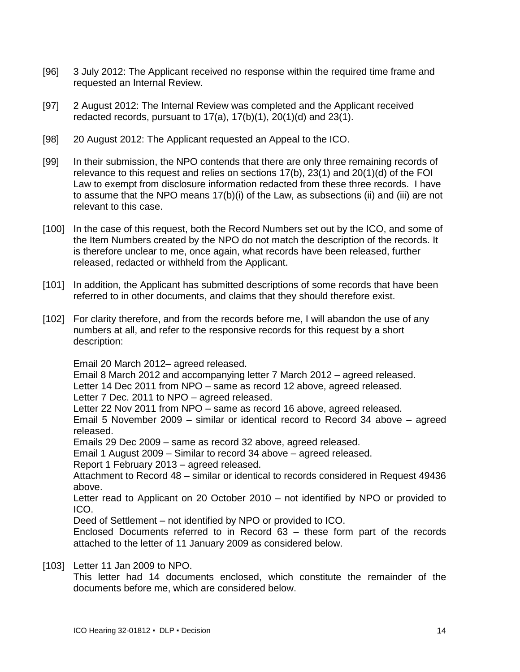- [96] 3 July 2012: The Applicant received no response within the required time frame and requested an Internal Review.
- [97] 2 August 2012: The Internal Review was completed and the Applicant received redacted records, pursuant to  $17(a)$ ,  $17(b)(1)$ ,  $20(1)(d)$  and  $23(1)$ .
- [98] 20 August 2012: The Applicant requested an Appeal to the ICO.
- [99] In their submission, the NPO contends that there are only three remaining records of relevance to this request and relies on sections 17(b), 23(1) and 20(1)(d) of the FOI Law to exempt from disclosure information redacted from these three records. I have to assume that the NPO means 17(b)(i) of the Law, as subsections (ii) and (iii) are not relevant to this case.
- [100] In the case of this request, both the Record Numbers set out by the ICO, and some of the Item Numbers created by the NPO do not match the description of the records. It is therefore unclear to me, once again, what records have been released, further released, redacted or withheld from the Applicant.
- [101] In addition, the Applicant has submitted descriptions of some records that have been referred to in other documents, and claims that they should therefore exist.
- [102] For clarity therefore, and from the records before me, I will abandon the use of any numbers at all, and refer to the responsive records for this request by a short description:

Email 20 March 2012– agreed released.

Email 8 March 2012 and accompanying letter 7 March 2012 – agreed released.

Letter 14 Dec 2011 from NPO – same as record 12 above, agreed released.

Letter 7 Dec. 2011 to NPO – agreed released.

Letter 22 Nov 2011 from NPO – same as record 16 above, agreed released.

Email 5 November 2009 – similar or identical record to Record 34 above – agreed released.

Emails 29 Dec 2009 – same as record 32 above, agreed released.

Email 1 August 2009 – Similar to record 34 above – agreed released.

Report 1 February 2013 – agreed released.

Attachment to Record 48 – similar or identical to records considered in Request 49436 above.

Letter read to Applicant on 20 October 2010 – not identified by NPO or provided to ICO.

Deed of Settlement – not identified by NPO or provided to ICO.

Enclosed Documents referred to in Record 63 – these form part of the records attached to the letter of 11 January 2009 as considered below.

# [103] Letter 11 Jan 2009 to NPO.

This letter had 14 documents enclosed, which constitute the remainder of the documents before me, which are considered below.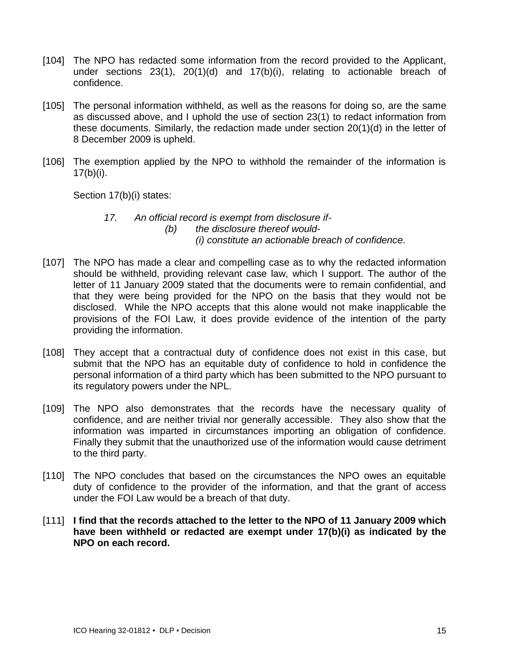- [104] The NPO has redacted some information from the record provided to the Applicant, under sections 23(1), 20(1)(d) and 17(b)(i), relating to actionable breach of confidence.
- [105] The personal information withheld, as well as the reasons for doing so, are the same as discussed above, and I uphold the use of section 23(1) to redact information from these documents. Similarly, the redaction made under section 20(1)(d) in the letter of 8 December 2009 is upheld.
- [106] The exemption applied by the NPO to withhold the remainder of the information is  $17(b)(i)$ .

Section 17(b)(i) states:

### *17. An official record is exempt from disclosure if- (b) the disclosure thereof would- (i) constitute an actionable breach of confidence.*

- [107] The NPO has made a clear and compelling case as to why the redacted information should be withheld, providing relevant case law, which I support. The author of the letter of 11 January 2009 stated that the documents were to remain confidential, and that they were being provided for the NPO on the basis that they would not be disclosed. While the NPO accepts that this alone would not make inapplicable the provisions of the FOI Law, it does provide evidence of the intention of the party providing the information.
- [108] They accept that a contractual duty of confidence does not exist in this case, but submit that the NPO has an equitable duty of confidence to hold in confidence the personal information of a third party which has been submitted to the NPO pursuant to its regulatory powers under the NPL.
- [109] The NPO also demonstrates that the records have the necessary quality of confidence, and are neither trivial nor generally accessible. They also show that the information was imparted in circumstances importing an obligation of confidence. Finally they submit that the unauthorized use of the information would cause detriment to the third party.
- [110] The NPO concludes that based on the circumstances the NPO owes an equitable duty of confidence to the provider of the information, and that the grant of access under the FOI Law would be a breach of that duty.
- [111] **I find that the records attached to the letter to the NPO of 11 January 2009 which have been withheld or redacted are exempt under 17(b)(i) as indicated by the NPO on each record.**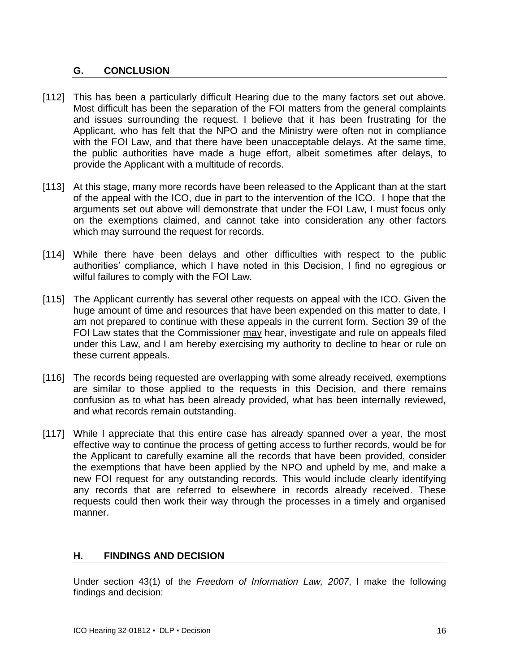## <span id="page-15-0"></span>**G. CONCLUSION**

- [112] This has been a particularly difficult Hearing due to the many factors set out above. Most difficult has been the separation of the FOI matters from the general complaints and issues surrounding the request. I believe that it has been frustrating for the Applicant, who has felt that the NPO and the Ministry were often not in compliance with the FOI Law, and that there have been unacceptable delays. At the same time, the public authorities have made a huge effort, albeit sometimes after delays, to provide the Applicant with a multitude of records.
- [113] At this stage, many more records have been released to the Applicant than at the start of the appeal with the ICO, due in part to the intervention of the ICO. I hope that the arguments set out above will demonstrate that under the FOI Law, I must focus only on the exemptions claimed, and cannot take into consideration any other factors which may surround the request for records.
- [114] While there have been delays and other difficulties with respect to the public authorities' compliance, which I have noted in this Decision, I find no egregious or wilful failures to comply with the FOI Law.
- [115] The Applicant currently has several other requests on appeal with the ICO. Given the huge amount of time and resources that have been expended on this matter to date, I am not prepared to continue with these appeals in the current form. Section 39 of the FOI Law states that the Commissioner may hear, investigate and rule on appeals filed under this Law, and I am hereby exercising my authority to decline to hear or rule on these current appeals.
- [116] The records being requested are overlapping with some already received, exemptions are similar to those applied to the requests in this Decision, and there remains confusion as to what has been already provided, what has been internally reviewed, and what records remain outstanding.
- [117] While I appreciate that this entire case has already spanned over a year, the most effective way to continue the process of getting access to further records, would be for the Applicant to carefully examine all the records that have been provided, consider the exemptions that have been applied by the NPO and upheld by me, and make a new FOI request for any outstanding records. This would include clearly identifying any records that are referred to elsewhere in records already received. These requests could then work their way through the processes in a timely and organised manner.

# <span id="page-15-1"></span>**H. FINDINGS AND DECISION**

Under section 43(1) of the *Freedom of Information Law, 2007*, I make the following findings and decision: